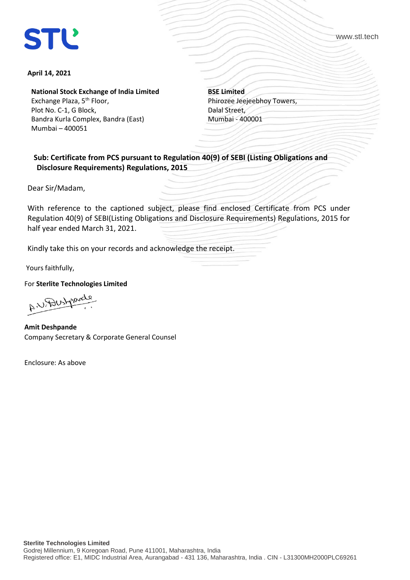## **STL**

www.stl.tech

## **April 14, 2021**

**National Stock Exchange of India Limited**

Exchange Plaza, 5<sup>th</sup> Floor, Plot No. C-1, G Block, Bandra Kurla Complex, Bandra (East) Mumbai – 400051

**BSE Limited** Phirozee Jeejeebhoy Towers, Dalal Street, Mumbai - 400001

 **Sub: Certificate from PCS pursuant to Regulation 40(9) of SEBI (Listing Obligations and Disclosure Requirements) Regulations, 2015** 

Dear Sir/Madam,

With reference to the captioned subject, please find enclosed Certificate from PCS under Regulation 40(9) of SEBI(Listing Obligations and Disclosure Requirements) Regulations, 2015 for half year ended March 31, 2021.

Kindly take this on your records and acknowledge the receipt.

Yours faithfully,

For **Sterlite Technologies Limited**

AN Destroyed

**Amit Deshpande**  Company Secretary & Corporate General Counsel

Enclosure: As above